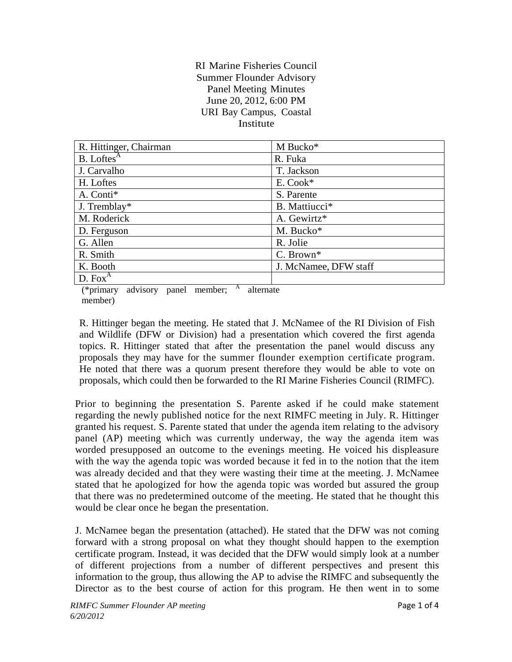## RI Marine Fisheries Council Summer Flounder Advisory Panel Meeting Minutes June 20, 2012, 6:00 PM URI Bay Campus, Coastal **Institute**

| R. Hittinger, Chairman                | M Bucko*              |
|---------------------------------------|-----------------------|
| $B.$ Loftes <sup><math>A</math></sup> | R. Fuka               |
| J. Carvalho                           | T. Jackson            |
| H. Loftes                             | E. Cook*              |
| A. Conti*                             | S. Parente            |
| J. Tremblay*                          | B. Mattiucci*         |
| M. Roderick                           | A. Gewirtz*           |
| D. Ferguson                           | M. Bucko*             |
| G. Allen                              | R. Jolie              |
| R. Smith                              | C. Brown*             |
| K. Booth                              | J. McNamee, DFW staff |
| D. Fox <sup>A</sup>                   |                       |

(\*primary advisory panel member;  $A$  alternate member)

R. Hittinger began the meeting. He stated that J. McNamee of the RI Division of Fish and Wildlife (DFW or Division) had a presentation which covered the first agenda topics. R. Hittinger stated that after the presentation the panel would discuss any proposals they may have for the summer flounder exemption certificate program. He noted that there was a quorum present therefore they would be able to vote on proposals, which could then be forwarded to the RI Marine Fisheries Council (RIMFC).

Prior to beginning the presentation S. Parente asked if he could make statement regarding the newly published notice for the next RIMFC meeting in July. R. Hittinger granted his request. S. Parente stated that under the agenda item relating to the advisory panel (AP) meeting which was currently underway, the way the agenda item was worded presupposed an outcome to the evenings meeting. He voiced his displeasure with the way the agenda topic was worded because it fed in to the notion that the item was already decided and that they were wasting their time at the meeting. J. McNamee stated that he apologized for how the agenda topic was worded but assured the group that there was no predetermined outcome of the meeting. He stated that he thought this would be clear once he began the presentation.

J. McNamee began the presentation (attached). He stated that the DFW was not coming forward with a strong proposal on what they thought should happen to the exemption certificate program. Instead, it was decided that the DFW would simply look at a number of different projections from a number of different perspectives and present this information to the group, thus allowing the AP to advise the RIMFC and subsequently the Director as to the best course of action for this program. He then went in to some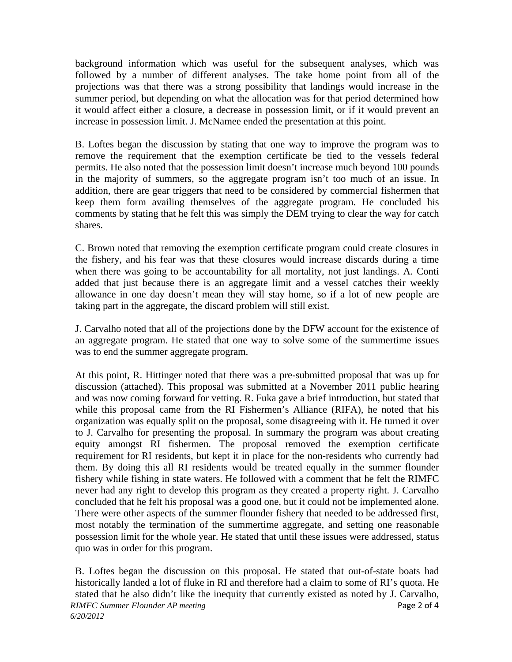background information which was useful for the subsequent analyses, which was followed by a number of different analyses. The take home point from all of the projections was that there was a strong possibility that landings would increase in the summer period, but depending on what the allocation was for that period determined how it would affect either a closure, a decrease in possession limit, or if it would prevent an increase in possession limit. J. McNamee ended the presentation at this point.

B. Loftes began the discussion by stating that one way to improve the program was to remove the requirement that the exemption certificate be tied to the vessels federal permits. He also noted that the possession limit doesn't increase much beyond 100 pounds in the majority of summers, so the aggregate program isn't too much of an issue. In addition, there are gear triggers that need to be considered by commercial fishermen that keep them form availing themselves of the aggregate program. He concluded his comments by stating that he felt this was simply the DEM trying to clear the way for catch shares.

C. Brown noted that removing the exemption certificate program could create closures in the fishery, and his fear was that these closures would increase discards during a time when there was going to be accountability for all mortality, not just landings. A. Conti added that just because there is an aggregate limit and a vessel catches their weekly allowance in one day doesn't mean they will stay home, so if a lot of new people are taking part in the aggregate, the discard problem will still exist.

J. Carvalho noted that all of the projections done by the DFW account for the existence of an aggregate program. He stated that one way to solve some of the summertime issues was to end the summer aggregate program.

At this point, R. Hittinger noted that there was a pre-submitted proposal that was up for discussion (attached). This proposal was submitted at a November 2011 public hearing and was now coming forward for vetting. R. Fuka gave a brief introduction, but stated that while this proposal came from the RI Fishermen's Alliance (RIFA), he noted that his organization was equally split on the proposal, some disagreeing with it. He turned it over to J. Carvalho for presenting the proposal. In summary the program was about creating equity amongst RI fishermen. The proposal removed the exemption certificate requirement for RI residents, but kept it in place for the non-residents who currently had them. By doing this all RI residents would be treated equally in the summer flounder fishery while fishing in state waters. He followed with a comment that he felt the RIMFC never had any right to develop this program as they created a property right. J. Carvalho concluded that he felt his proposal was a good one, but it could not be implemented alone. There were other aspects of the summer flounder fishery that needed to be addressed first, most notably the termination of the summertime aggregate, and setting one reasonable possession limit for the whole year. He stated that until these issues were addressed, status quo was in order for this program.

*RIMFC Summer Flounder AP meeting* **Page 2 of 4 Page 2 of 4** *6/20/2012*  B. Loftes began the discussion on this proposal. He stated that out-of-state boats had historically landed a lot of fluke in RI and therefore had a claim to some of RI's quota. He stated that he also didn't like the inequity that currently existed as noted by J. Carvalho,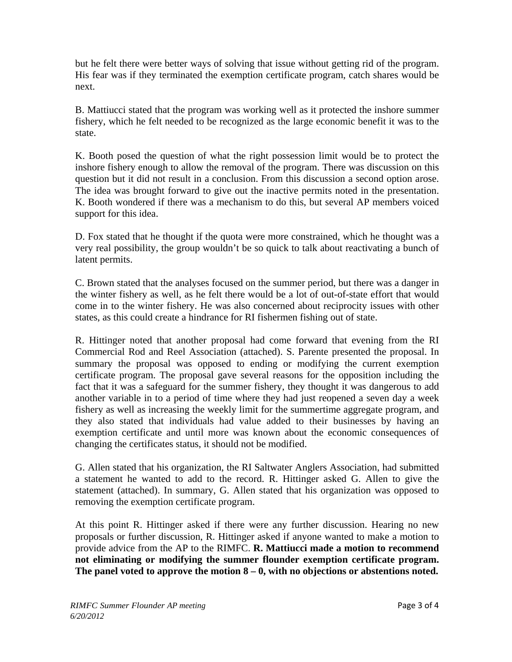but he felt there were better ways of solving that issue without getting rid of the program. His fear was if they terminated the exemption certificate program, catch shares would be next.

B. Mattiucci stated that the program was working well as it protected the inshore summer fishery, which he felt needed to be recognized as the large economic benefit it was to the state.

K. Booth posed the question of what the right possession limit would be to protect the inshore fishery enough to allow the removal of the program. There was discussion on this question but it did not result in a conclusion. From this discussion a second option arose. The idea was brought forward to give out the inactive permits noted in the presentation. K. Booth wondered if there was a mechanism to do this, but several AP members voiced support for this idea.

D. Fox stated that he thought if the quota were more constrained, which he thought was a very real possibility, the group wouldn't be so quick to talk about reactivating a bunch of latent permits.

C. Brown stated that the analyses focused on the summer period, but there was a danger in the winter fishery as well, as he felt there would be a lot of out-of-state effort that would come in to the winter fishery. He was also concerned about reciprocity issues with other states, as this could create a hindrance for RI fishermen fishing out of state.

R. Hittinger noted that another proposal had come forward that evening from the RI Commercial Rod and Reel Association (attached). S. Parente presented the proposal. In summary the proposal was opposed to ending or modifying the current exemption certificate program. The proposal gave several reasons for the opposition including the fact that it was a safeguard for the summer fishery, they thought it was dangerous to add another variable in to a period of time where they had just reopened a seven day a week fishery as well as increasing the weekly limit for the summertime aggregate program, and they also stated that individuals had value added to their businesses by having an exemption certificate and until more was known about the economic consequences of changing the certificates status, it should not be modified.

G. Allen stated that his organization, the RI Saltwater Anglers Association, had submitted a statement he wanted to add to the record. R. Hittinger asked G. Allen to give the statement (attached). In summary, G. Allen stated that his organization was opposed to removing the exemption certificate program.

At this point R. Hittinger asked if there were any further discussion. Hearing no new proposals or further discussion, R. Hittinger asked if anyone wanted to make a motion to provide advice from the AP to the RIMFC. **R. Mattiucci made a motion to recommend not eliminating or modifying the summer flounder exemption certificate program. The panel voted to approve the motion 8 – 0, with no objections or abstentions noted.**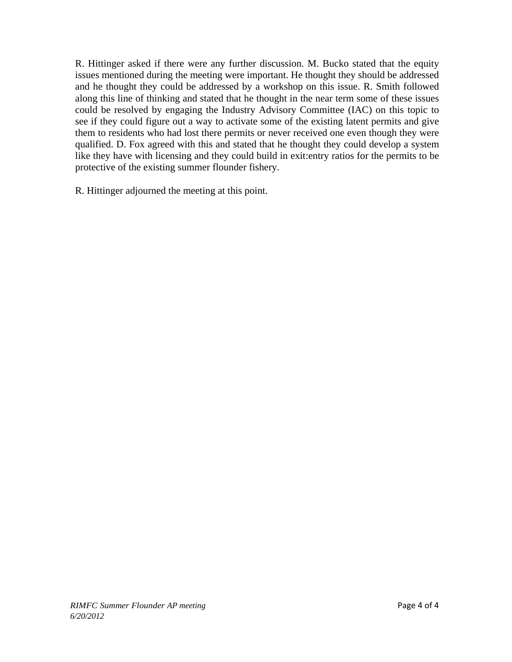R. Hittinger asked if there were any further discussion. M. Bucko stated that the equity issues mentioned during the meeting were important. He thought they should be addressed and he thought they could be addressed by a workshop on this issue. R. Smith followed along this line of thinking and stated that he thought in the near term some of these issues could be resolved by engaging the Industry Advisory Committee (IAC) on this topic to see if they could figure out a way to activate some of the existing latent permits and give them to residents who had lost there permits or never received one even though they were qualified. D. Fox agreed with this and stated that he thought they could develop a system like they have with licensing and they could build in exit:entry ratios for the permits to be protective of the existing summer flounder fishery.

R. Hittinger adjourned the meeting at this point.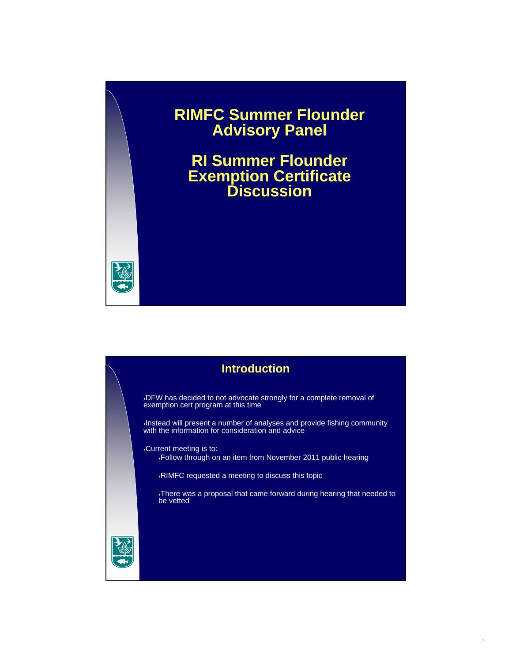## **RIMFC Summer Flounder Advisory Panel**

**RI Summer Flounder Exemption Certificate Discussion**



DFW has decided to not advocate strongly for a complete removal of exemption cert program at this time

Instead will present a number of analyses and provide fishing community with the information for consideration and advice

Current meeting is to: Follow through on an item from November 2011 public hearing

RIMFC requested a meeting to discuss this topic

There was a proposal that came forward during hearing that needed to be vetted

1

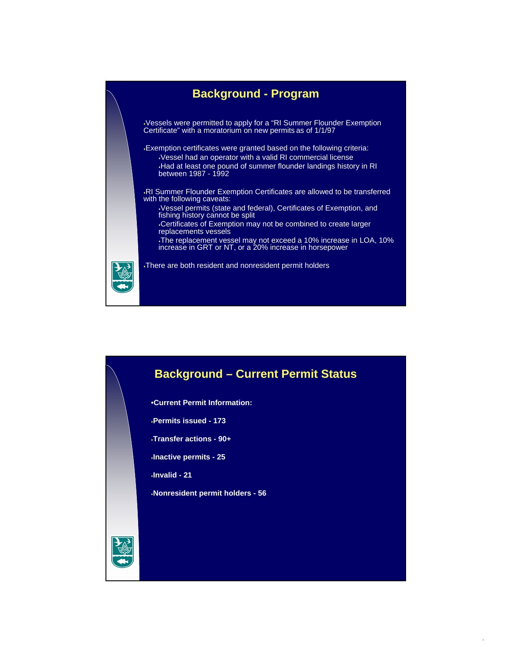

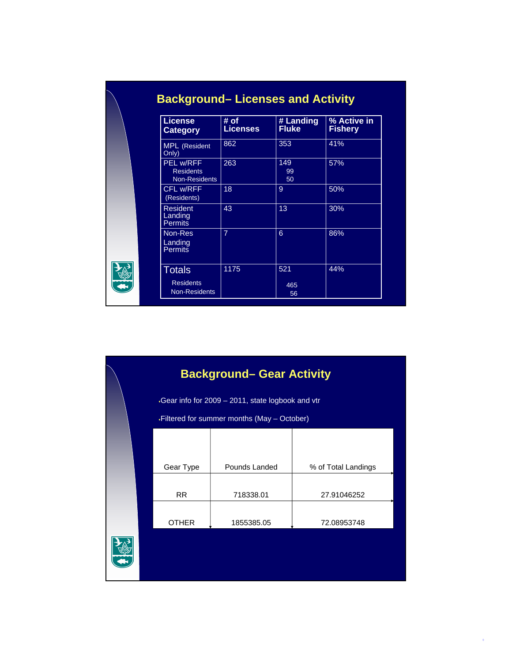| <b>License</b><br><b>Category</b>                     | # of<br><b>Licenses</b> | # Landing<br><b>Fluke</b> | % Active in<br><b>Fishery</b> |
|-------------------------------------------------------|-------------------------|---------------------------|-------------------------------|
| <b>MPL</b> (Resident<br>Only)                         | 862                     | 353                       | 41%                           |
| <b>PEL w/RFF</b><br><b>Residents</b><br>Non-Residents | 263                     | 149<br>99<br>50           | 57%                           |
| CFL w/RFF<br>(Residents)                              | 18                      | 9                         | 50%                           |
| <b>Resident</b><br>Landing<br><b>Permits</b>          | 43                      | 13                        | 30%                           |
| Non-Res<br>Landing<br><b>Permits</b>                  | $\overline{7}$          | 6                         | 86%                           |
| Totals                                                | 1175                    | 521                       | 44%                           |
| <b>Residents</b><br><b>Non-Residents</b>              |                         | 465<br>56                 |                               |

| <b>Background- Gear Activity</b>                 |               |                     |  |  |
|--------------------------------------------------|---------------|---------------------|--|--|
| Gear info for 2009 - 2011, state logbook and vtr |               |                     |  |  |
| .Filtered for summer months (May - October)      |               |                     |  |  |
|                                                  |               |                     |  |  |
| Gear Type                                        | Pounds Landed | % of Total Landings |  |  |
| <b>RR</b>                                        | 718338.01     | 27.91046252         |  |  |
| <b>OTHER</b>                                     | 1855385.05    | 72.08953748         |  |  |
|                                                  |               |                     |  |  |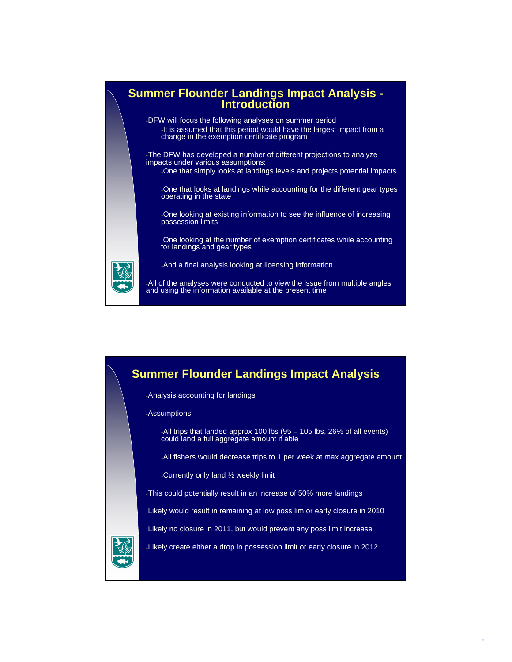

## **Summer Flounder Landings Impact Analysis**

Analysis accounting for landings

Assumptions:

All trips that landed approx 100 lbs (95 – 105 lbs, 26% of all events) could land a full aggregate amount if able

All fishers would decrease trips to 1 per week at max aggregate amount

Currently only land ½ weekly limit

This could potentially result in an increase of 50% more landings

Likely would result in remaining at low poss lim or early closure in 2010

Likely no closure in 2011, but would prevent any poss limit increase

Likely create either a drop in possession limit or early closure in 2012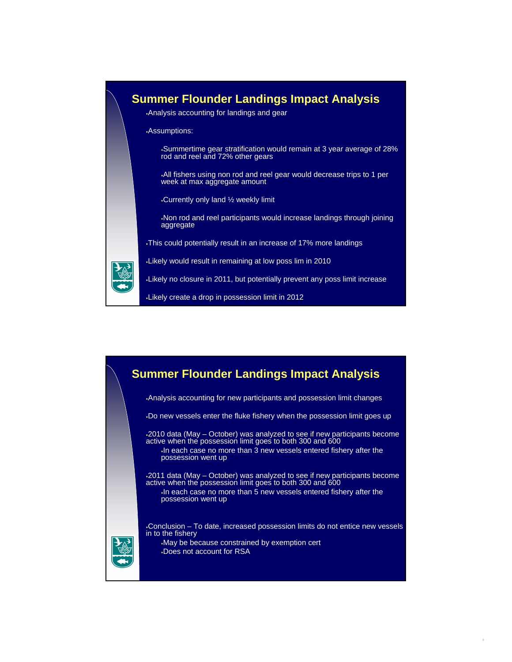



5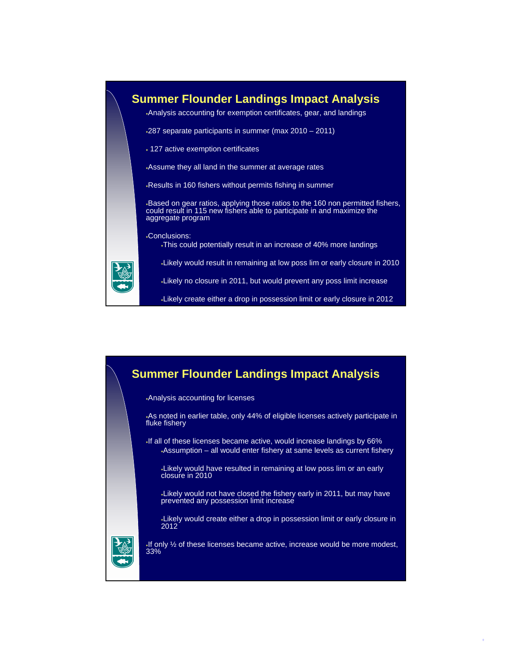

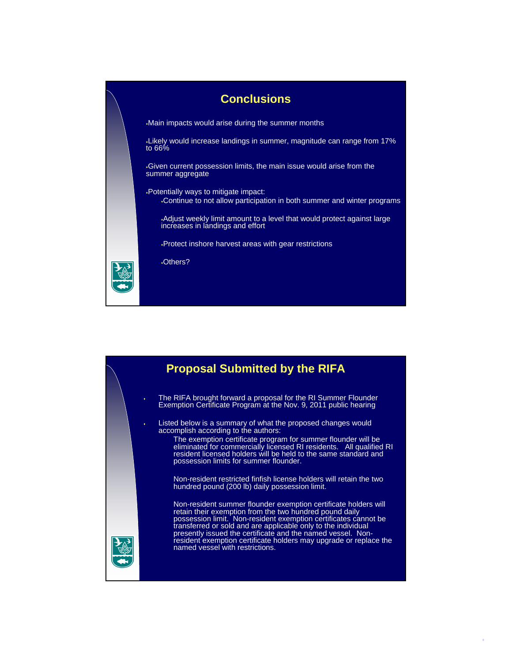



7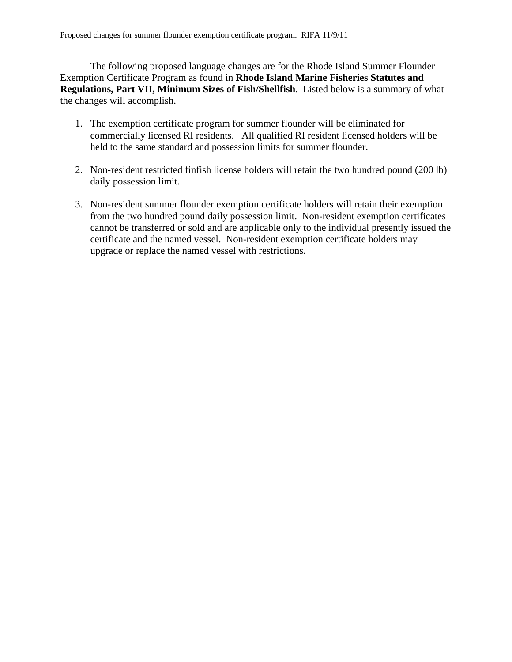The following proposed language changes are for the Rhode Island Summer Flounder Exemption Certificate Program as found in **Rhode Island Marine Fisheries Statutes and Regulations, Part VII, Minimum Sizes of Fish/Shellfish**. Listed below is a summary of what the changes will accomplish.

- 1. The exemption certificate program for summer flounder will be eliminated for commercially licensed RI residents. All qualified RI resident licensed holders will be held to the same standard and possession limits for summer flounder.
- 2. Non-resident restricted finfish license holders will retain the two hundred pound (200 lb) daily possession limit.
- 3. Non-resident summer flounder exemption certificate holders will retain their exemption from the two hundred pound daily possession limit. Non-resident exemption certificates cannot be transferred or sold and are applicable only to the individual presently issued the certificate and the named vessel. Non-resident exemption certificate holders may upgrade or replace the named vessel with restrictions.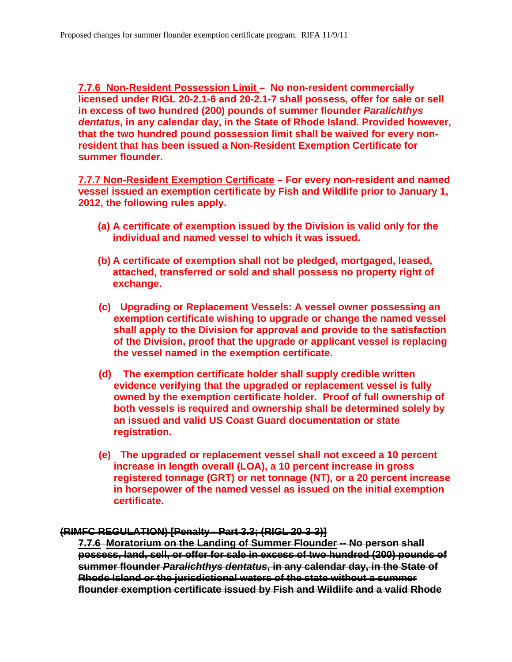**7.7.6 Non-Resident Possession Limit – No non-resident commercially licensed under RIGL 20-2.1-6 and 20-2.1-7 shall possess, offer for sale or sell in excess of two hundred (200) pounds of summer flounder** *Paralichthys dentatus***, in any calendar day, in the State of Rhode Island. Provided however, that the two hundred pound possession limit shall be waived for every nonresident that has been issued a Non-Resident Exemption Certificate for summer flounder.** 

**7.7.7 Non-Resident Exemption Certificate – For every non-resident and named vessel issued an exemption certificate by Fish and Wildlife prior to January 1, 2012, the following rules apply.** 

- **(a) A certificate of exemption issued by the Division is valid only for the individual and named vessel to which it was issued.**
- **(b) A certificate of exemption shall not be pledged, mortgaged, leased, attached, transferred or sold and shall possess no property right of exchange.**
- **(c) Upgrading or Replacement Vessels: A vessel owner possessing an exemption certificate wishing to upgrade or change the named vessel shall apply to the Division for approval and provide to the satisfaction of the Division, proof that the upgrade or applicant vessel is replacing the vessel named in the exemption certificate.**
- **(d) The exemption certificate holder shall supply credible written evidence verifying that the upgraded or replacement vessel is fully owned by the exemption certificate holder. Proof of full ownership of both vessels is required and ownership shall be determined solely by an issued and valid US Coast Guard documentation or state registration.**
- **(e) The upgraded or replacement vessel shall not exceed a 10 percent increase in length overall (LOA), a 10 percent increase in gross registered tonnage (GRT) or net tonnage (NT), or a 20 percent increase in horsepower of the named vessel as issued on the initial exemption certificate.**

## **(RIMFC REGULATION) [Penalty - Part 3.3; (RIGL 20-3-3)]**

**7.7.6 Moratorium on the Landing of Summer Flounder -- No person shall possess, land, sell, or offer for sale in excess of two hundred (200) pounds of summer flounder** *Paralichthys dentatus***, in any calendar day, in the State of Rhode Island or the jurisdictional waters of the state without a summer flounder exemption certificate issued by Fish and Wildlife and a valid Rhode**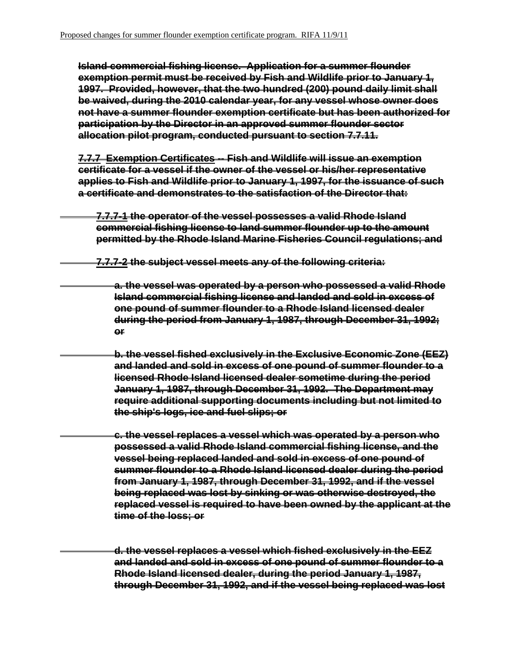**Island commercial fishing license. Application for a summer flounder exemption permit must be received by Fish and Wildlife prior to January 1, 1997. Provided, however, that the two hundred (200) pound daily limit shall be waived, during the 2010 calendar year, for any vessel whose owner does not have a summer flounder exemption certificate but has been authorized for participation by the Director in an approved summer flounder sector allocation pilot program, conducted pursuant to section 7.7.11.**

**7.7.7 Exemption Certificates -- Fish and Wildlife will issue an exemption certificate for a vessel if the owner of the vessel or his/her representative applies to Fish and Wildlife prior to January 1, 1997, for the issuance of such a certificate and demonstrates to the satisfaction of the Director that:**

**7.7.7-1 the operator of the vessel possesses a valid Rhode Island commercial fishing license to land summer flounder up to the amount permitted by the Rhode Island Marine Fisheries Council regulations; and**

**7.7.7-2 the subject vessel meets any of the following criteria:**

**a. the vessel was operated by a person who possessed a valid Rhode Island commercial fishing license and landed and sold in excess of one pound of summer flounder to a Rhode Island licensed dealer during the period from January 1, 1987, through December 31, 1992; or**

**b. the vessel fished exclusively in the Exclusive Economic Zone (EEZ) and landed and sold in excess of one pound of summer flounder to a licensed Rhode Island licensed dealer sometime during the period January 1, 1987, through December 31, 1992. The Department may require additional supporting documents including but not limited to the ship's logs, ice and fuel slips; or**

**c. the vessel replaces a vessel which was operated by a person who possessed a valid Rhode Island commercial fishing license, and the vessel being replaced landed and sold in excess of one pound of summer flounder to a Rhode Island licensed dealer during the period from January 1, 1987, through December 31, 1992, and if the vessel being replaced was lost by sinking or was otherwise destroyed, the replaced vessel is required to have been owned by the applicant at the time of the loss; or**

**d. the vessel replaces a vessel which fished exclusively in the EEZ and landed and sold in excess of one pound of summer flounder to a Rhode Island licensed dealer, during the period January 1, 1987, through December 31, 1992, and if the vessel being replaced was lost**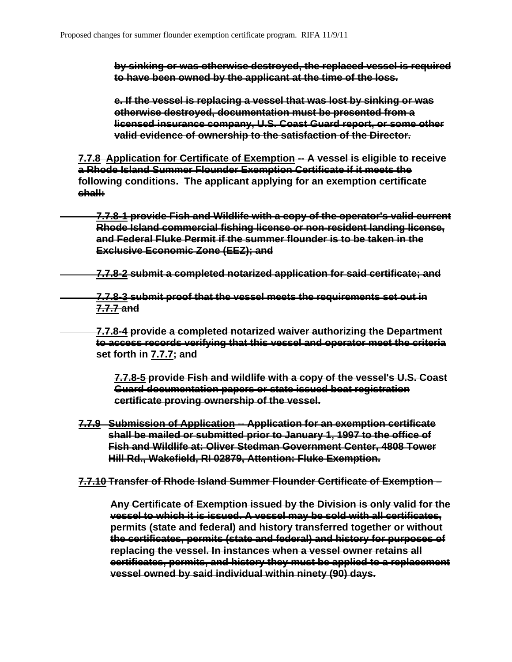**by sinking or was otherwise destroyed, the replaced vessel is required to have been owned by the applicant at the time of the loss.**

**e. If the vessel is replacing a vessel that was lost by sinking or was otherwise destroyed, documentation must be presented from a licensed insurance company, U.S. Coast Guard report, or some other valid evidence of ownership to the satisfaction of the Director.**

**7.7.8 Application for Certificate of Exemption -- A vessel is eligible to receive a Rhode Island Summer Flounder Exemption Certificate if it meets the following conditions. The applicant applying for an exemption certificate shall:**

**7.7.8-1 provide Fish and Wildlife with a copy of the operator's valid current Rhode Island commercial fishing license or non-resident landing license, and Federal Fluke Permit if the summer flounder is to be taken in the Exclusive Economic Zone (EEZ); and**

**7.7.8-2 submit a completed notarized application for said certificate; and**

**7.7.8-3 submit proof that the vessel meets the requirements set out in 7.7.7 and**

**7.7.8-4 provide a completed notarized waiver authorizing the Department to access records verifying that this vessel and operator meet the criteria set forth in 7.7.7; and**

**7.7.8-5 provide Fish and wildlife with a copy of the vessel's U.S. Coast Guard documentation papers or state issued boat registration certificate proving ownership of the vessel.** 

- **7.7.9 Submission of Application -- Application for an exemption certificate shall be mailed or submitted prior to January 1, 1997 to the office of Fish and Wildlife at: Oliver Stedman Government Center, 4808 Tower Hill Rd., Wakefield, RI 02879, Attention: Fluke Exemption.**
- **7.7.10 Transfer of Rhode Island Summer Flounder Certificate of Exemption**

**Any Certificate of Exemption issued by the Division is only valid for the vessel to which it is issued. A vessel may be sold with all certificates, permits (state and federal) and history transferred together or without the certificates, permits (state and federal) and history for purposes of replacing the vessel. In instances when a vessel owner retains all certificates, permits, and history they must be applied to a replacement vessel owned by said individual within ninety (90) days.**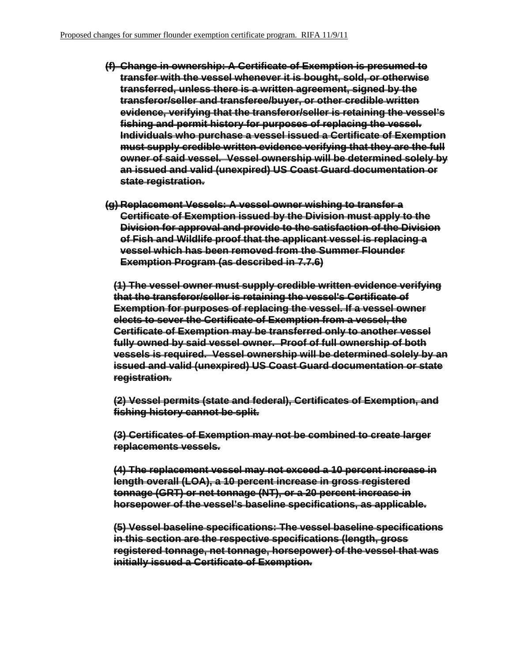- **(f) Change in ownership: A Certificate of Exemption is presumed to transfer with the vessel whenever it is bought, sold, or otherwise transferred, unless there is a written agreement, signed by the transferor/seller and transferee/buyer, or other credible written evidence, verifying that the transferor/seller is retaining the vessel's fishing and permit history for purposes of replacing the vessel. Individuals who purchase a vessel issued a Certificate of Exemption must supply credible written evidence verifying that they are the full owner of said vessel. Vessel ownership will be determined solely by an issued and valid (unexpired) US Coast Guard documentation or state registration.**
- **(g) Replacement Vessels: A vessel owner wishing to transfer a Certificate of Exemption issued by the Division must apply to the Division for approval and provide to the satisfaction of the Division of Fish and Wildlife proof that the applicant vessel is replacing a vessel which has been removed from the Summer Flounder Exemption Program (as described in 7.7.6)**

**(1) The vessel owner must supply credible written evidence verifying that the transferor/seller is retaining the vessel's Certificate of Exemption for purposes of replacing the vessel. If a vessel owner elects to sever the Certificate of Exemption from a vessel, the Certificate of Exemption may be transferred only to another vessel fully owned by said vessel owner. Proof of full ownership of both vessels is required. Vessel ownership will be determined solely by an issued and valid (unexpired) US Coast Guard documentation or state registration.**

**(2) Vessel permits (state and federal), Certificates of Exemption, and fishing history cannot be split.** 

**(3) Certificates of Exemption may not be combined to create larger replacements vessels.** 

**(4) The replacement vessel may not exceed a 10 percent increase in length overall (LOA), a 10 percent increase in gross registered tonnage (GRT) or net tonnage (NT), or a 20 percent increase in horsepower of the vessel's baseline specifications, as applicable.**

**(5) Vessel baseline specifications: The vessel baseline specifications in this section are the respective specifications (length, gross registered tonnage, net tonnage, horsepower) of the vessel that was initially issued a Certificate of Exemption.**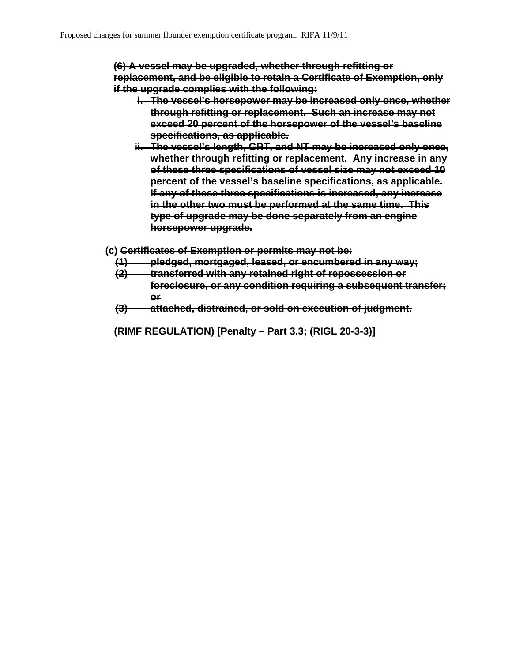**(6) A vessel may be upgraded, whether through refitting or replacement, and be eligible to retain a Certificate of Exemption, only if the upgrade complies with the following:**

- **i. The vessel's horsepower may be increased only once, whether through refitting or replacement. Such an increase may not exceed 20 percent of the horsepower of the vessel's baseline specifications, as applicable.**
- **ii. The vessel's length, GRT, and NT may be increased only once, whether through refitting or replacement. Any increase in any of these three specifications of vessel size may not exceed 10 percent of the vessel's baseline specifications, as applicable. If any of these three specifications is increased, any increase in the other two must be performed at the same time. This type of upgrade may be done separately from an engine horsepower upgrade.**
- **(c) Certificates of Exemption or permits may not be:** 
	- **(1) pledged, mortgaged, leased, or encumbered in any way;**
	- **(2) transferred with any retained right of repossession or foreclosure, or any condition requiring a subsequent transfer; or**
	- **(3) attached, distrained, or sold on execution of judgment.**
	- **(RIMF REGULATION) [Penalty Part 3.3; (RIGL 20-3-3)]**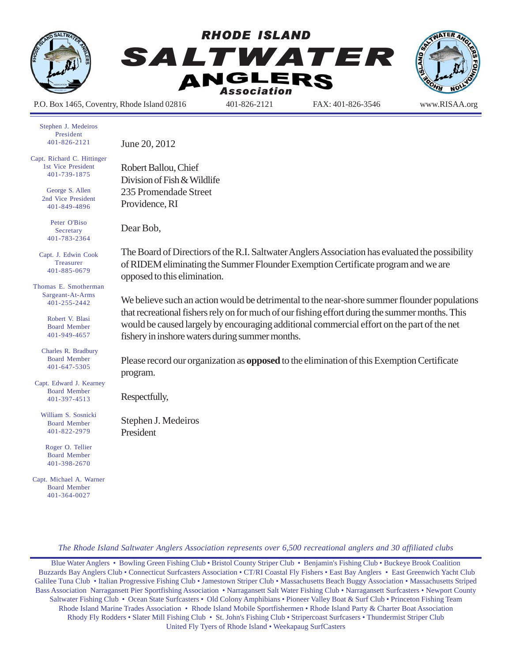

Stephen J. Medeiros President 401-826-2121

Capt. Richard C. Hittinger 1st Vice President 401-739-1875

> George S. Allen 2nd Vice President 401-849-4896

> > Peter O'Biso **Secretary** 401-783-2364

Capt. J. Edwin Cook Treasurer 401-885-0679

Thomas E. Smotherman Sargeant-At-Arms 401-255-2442

> Robert V. Blasi Board Member 401-949-4657

 Charles R. Bradbury Board Member 401-647-5305

 Capt. Edward J. Kearney Board Member 401-397-4513

William S. Sosnicki Board Member 401-822-2979

Roger O. Tellier Board Member 401-398-2670

Capt. Michael A. Warner Board Member 401-364-0027

June 20, 2012

Robert Ballou, Chief Division of Fish & Wildlife 235 Promendade Street Providence, RI

Dear Bob,

The Board of Directiors of the R.I. Saltwater Anglers Association has evaluated the possibility of RIDEM eliminating the Summer Flounder Exemption Certificate program and we are opposed to this elimination.

We believe such an action would be detrimental to the near-shore summer flounder populations that recreational fishers rely on for much of our fishing effort during the summer months. This would be caused largely by encouraging additional commercial effort on the part of the net fishery in inshore waters during summer months.

Please record our organization as **opposed** to the elimination of this Exemption Certificate program.

Respectfully,

Stephen J. Medeiros President

*The Rhode Island Saltwater Anglers Association represents over 6,500 recreational anglers and 30 affiliated clubs*

Blue Water Anglers • Bowling Green Fishing Club • Bristol County Striper Club • Benjamin's Fishing Club • Buckeye Brook Coalition Buzzards Bay Anglers Club • Connecticut Surfcasters Association • CT/RI Coastal Fly Fishers • East Bay Anglers • East Greenwich Yacht Club Galilee Tuna Club • Italian Progressive Fishing Club • Jamestown Striper Club • Massachusetts Beach Buggy Association • Massachusetts Striped Bass Association Narragansett Pier Sportfishing Association • Narragansett Salt Water Fishing Club • Narragansett Surfcasters • Newport County Saltwater Fishing Club • Ocean State Surfcasters • Old Colony Amphibians • Pioneer Valley Boat & Surf Club • Princeton Fishing Team Rhode Island Marine Trades Association • Rhode Island Mobile Sportfishermen • Rhode Island Party & Charter Boat Association Rhody Fly Rodders • Slater Mill Fishing Club • St. John's Fishing Club • Stripercoast Surfcasers • Thundermist Striper Club United Fly Tyers of Rhode Island • Weekapaug SurfCasters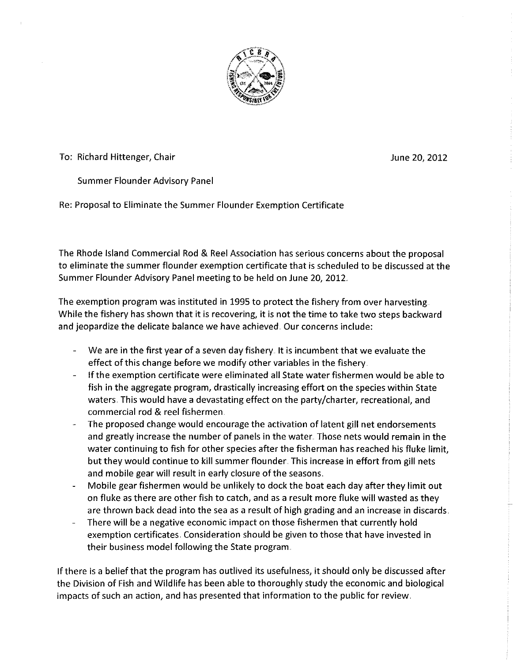

To: Richard Hittenger, Chair

June 20, 2012

Summer Flounder Advisory Panel

Re: Proposal to Eliminate the Summer Flounder Exemption Certificate

The Rhode Island Commercial Rod & Reel Association has serious concerns about the proposal to eliminate the summer flounder exemption certificate that is scheduled to be discussed at the Summer Flounder Advisory Panel meeting to be held on June 20, 2012.

The exemption program was instituted in 1995 to protect the fishery from over harvesting. While the fishery has shown that it is recovering, it is not the time to take two steps backward and jeopardize the delicate balance we have achieved. Our concerns include:

- We are in the first year of a seven day fishery. It is incumbent that we evaluate the effect of this change before we modify other variables in the fishery.
- If the exemption certificate were eliminated all State water fishermen would be able to fish in the aggregate program, drastically increasing effort on the species within State waters. This would have a devastating effect on the party/charter, recreational, and commercial rod & reel fishermen.
- The proposed change would encourage the activation of latent gill net endorsements and greatly increase the number of panels in the water. Those nets would remain in the water continuing to fish for other species after the fisherman has reached his fluke limit. but they would continue to kill summer flounder. This increase in effort from gill nets and mobile gear will result in early closure of the seasons.
- Mobile gear fishermen would be unlikely to dock the boat each day after they limit out on fluke as there are other fish to catch, and as a result more fluke will wasted as they are thrown back dead into the sea as a result of high grading and an increase in discards.
- There will be a negative economic impact on those fishermen that currently hold exemption certificates. Consideration should be given to those that have invested in their business model following the State program.

If there is a belief that the program has outlived its usefulness, it should only be discussed after the Division of Fish and Wildlife has been able to thoroughly study the economic and biological impacts of such an action, and has presented that information to the public for review.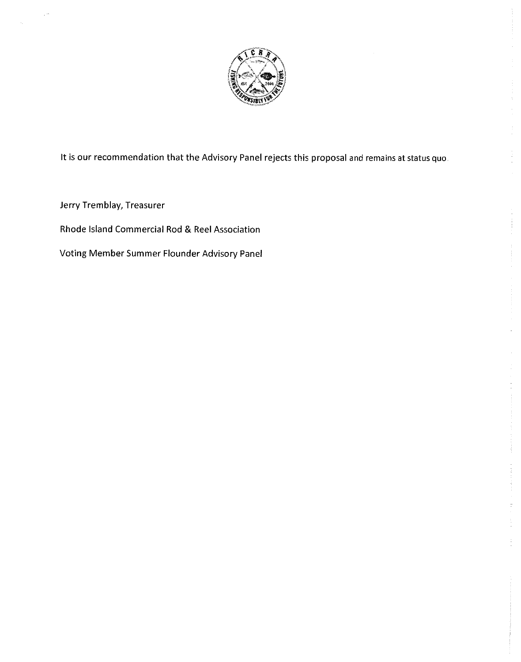

It is our recommendation that the Advisory Panel rejects this proposal and remains at status quo.

Jerry Tremblay, Treasurer

Rhode Island Commercial Rod & Reel Association

Voting Member Summer Flounder Advisory Panel